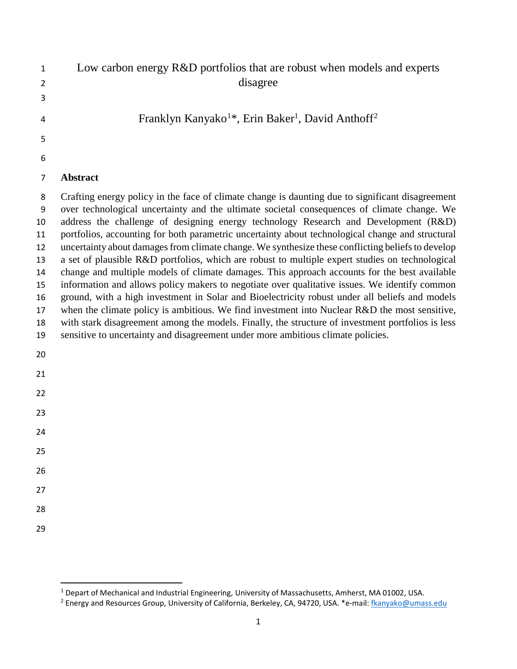| $\mathbf{1}$ | Low carbon energy R&D portfolios that are robust when models and experts              |
|--------------|---------------------------------------------------------------------------------------|
| 2            | disagree                                                                              |
| 3            |                                                                                       |
| 4            | Franklyn Kanyako <sup>1*</sup> , Erin Baker <sup>1</sup> , David Anthoff <sup>2</sup> |
| 5            |                                                                                       |
| 6            |                                                                                       |

## **Abstract**

 Crafting energy policy in the face of climate change is daunting due to significant disagreement over technological uncertainty and the ultimate societal consequences of climate change. We address the challenge of designing energy technology Research and Development (R&D) portfolios, accounting for both parametric uncertainty about technological change and structural uncertainty about damages from climate change. We synthesize these conflicting beliefs to develop a set of plausible R&D portfolios, which are robust to multiple expert studies on technological change and multiple models of climate damages. This approach accounts for the best available information and allows policy makers to negotiate over qualitative issues. We identify common ground, with a high investment in Solar and Bioelectricity robust under all beliefs and models when the climate policy is ambitious. We find investment into Nuclear R&D the most sensitive, with stark disagreement among the models. Finally, the structure of investment portfolios is less sensitive to uncertainty and disagreement under more ambitious climate policies.

- 
- 
- 
- 
- 
- 
- 
- 
- 
- 
- 

<span id="page-0-1"></span><span id="page-0-0"></span><sup>&</sup>lt;sup>1</sup> Depart of Mechanical and Industrial Engineering, University of Massachusetts, Amherst, MA 01002, USA. <sup>2</sup> Energy and Resources Group, University of California, Berkeley, CA, 94720, USA. \*e-mail: flkanyako@umass.edu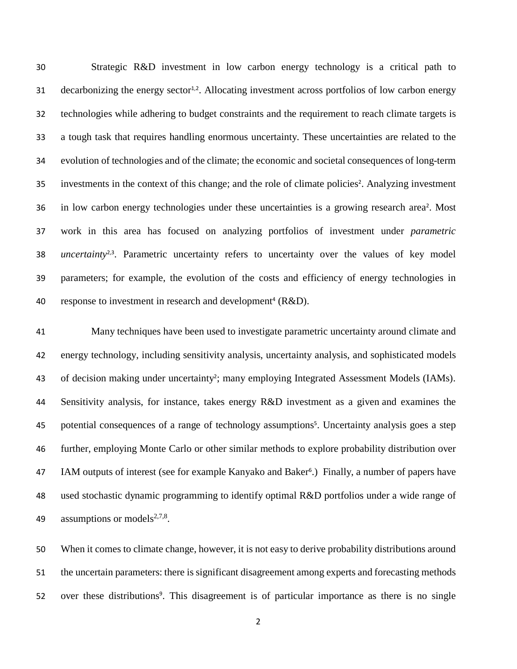Strategic R&D investment in low carbon energy technology is a critical path to 31 decarbonizing the energy sector<sup>1,2</sup>. Allocating investment across portfolios of low carbon energy technologies while adhering to budget constraints and the requirement to reach climate targets is a tough task that requires handling enormous uncertainty. These uncertainties are related to the evolution of technologies and of the climate; the economic and societal consequences of long-term 35 investments in the context of this change; and the role of climate policies<sup>2</sup>. Analyzing investment 36 in low carbon energy technologies under these uncertainties is a growing research area<sup>2</sup>. Most work in this area has focused on analyzing portfolios of investment under *parametric uncertainty*<sup>2,3</sup>. Parametric uncertainty refers to uncertainty over the values of key model parameters; for example, the evolution of the costs and efficiency of energy technologies in 40 response to investment in research and development<sup>4</sup> ( $R&D$ ).

41 Many techniques have been used to investigate parametric uncertainty around climate and 42 energy technology, including sensitivity analysis, uncertainty analysis, and sophisticated models 43 of decision making under uncertainty<sup>2</sup>; many employing Integrated Assessment Models (IAMs). 44 Sensitivity analysis, for instance, takes energy R&D investment as a given and examines the 45 potential consequences of a range of technology assumptions<sup>5</sup>. Uncertainty analysis goes a step 46 further, employing Monte Carlo or other similar methods to explore probability distribution over 47 IAM outputs of interest (see for example Kanyako and Baker<sup>6</sup>.) Finally, a number of papers have 48 used stochastic dynamic programming to identify optimal R&D portfolios under a wide range of 49 . assumptions or models<sup>2,7,8</sup>.

50 When it comes to climate change, however, it is not easy to derive probability distributions around 51 the uncertain parameters: there is significant disagreement among experts and forecasting methods 52 over these distributions<sup>9</sup>. This disagreement is of particular importance as there is no single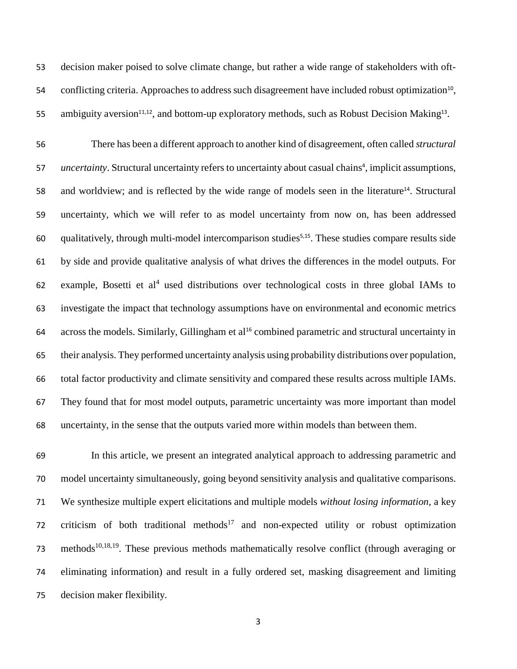decision maker poised to solve climate change, but rather a wide range of stakeholders with oft-54 conflicting criteria. Approaches to address such disagreement have included robust optimization<sup>10</sup>, 55 ambiguity aversion<sup>11,12</sup>, and bottom-up exploratory methods, such as Robust Decision Making<sup>13</sup>.

 There has been a different approach to another kind of disagreement, often called *structural uncertainty*. Structural uncertainty refers to uncertainty about casual chains<sup>4</sup>, implicit assumptions, 58 and worldview; and is reflected by the wide range of models seen in the literature<sup>14</sup>. Structural uncertainty, which we will refer to as model uncertainty from now on, has been addressed qualitatively, through multi-model intercomparison studies<sup>5,15</sup>. These studies compare results side by side and provide qualitative analysis of what drives the differences in the model outputs. For 62 example, Bosetti et  $al<sup>4</sup>$  used distributions over technological costs in three global IAMs to investigate the impact that technology assumptions have on environmental and economic metrics 64 across the models. Similarly, Gillingham et al<sup>16</sup> combined parametric and structural uncertainty in their analysis. They performed uncertainty analysis using probability distributions over population, total factor productivity and climate sensitivity and compared these results across multiple IAMs. They found that for most model outputs, parametric uncertainty was more important than model uncertainty, in the sense that the outputs varied more within models than between them.

 In this article, we present an integrated analytical approach to addressing parametric and model uncertainty simultaneously, going beyond sensitivity analysis and qualitative comparisons. We synthesize multiple expert elicitations and multiple models *without losing information*, a key 72 criticism of both traditional methods<sup>17</sup> and non-expected utility or robust optimization 73 methods<sup>10,18,19</sup>. These previous methods mathematically resolve conflict (through averaging or eliminating information) and result in a fully ordered set, masking disagreement and limiting decision maker flexibility.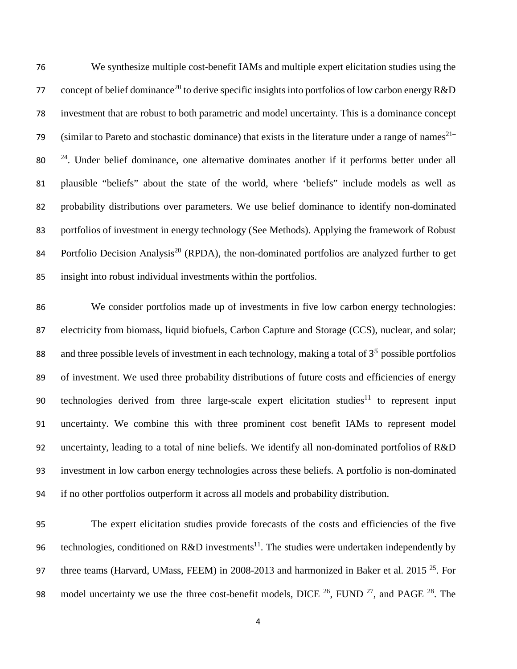76 We synthesize multiple cost-benefit IAMs and multiple expert elicitation studies using the 77 concept of belief dominance<sup>20</sup> to derive specific insights into portfolios of low carbon energy R&D 78 investment that are robust to both parametric and model uncertainty. This is a dominance concept (similar to Pareto and stochastic dominance) that exists in the literature under a range of names $2^{1-}$  $2^{24}$ . Under belief dominance, one alternative dominates another if it performs better under all 81 plausible "beliefs" about the state of the world, where 'beliefs" include models as well as 82 probability distributions over parameters. We use belief dominance to identify non-dominated 83 portfolios of investment in energy technology (See Methods). Applying the framework of Robust 84 Portfolio Decision Analysis<sup>20</sup> (RPDA), the non-dominated portfolios are analyzed further to get 85 insight into robust individual investments within the portfolios.

86 We consider portfolios made up of investments in five low carbon energy technologies: 87 electricity from biomass, liquid biofuels, Carbon Capture and Storage (CCS), nuclear, and solar; 88 and three possible levels of investment in each technology, making a total of  $3<sup>5</sup>$  possible portfolios 89 of investment. We used three probability distributions of future costs and efficiencies of energy 90 technologies derived from three large-scale expert elicitation studies<sup>11</sup> to represent input 91 uncertainty. We combine this with three prominent cost benefit IAMs to represent model 92 uncertainty, leading to a total of nine beliefs. We identify all non-dominated portfolios of R&D 93 investment in low carbon energy technologies across these beliefs. A portfolio is non-dominated 94 if no other portfolios outperform it across all models and probability distribution.

95 The expert elicitation studies provide forecasts of the costs and efficiencies of the five 96 technologies, conditioned on R&D investments<sup>11</sup>. The studies were undertaken independently by 97 three teams (Harvard, UMass, FEEM) in 2008-2013 and harmonized in Baker et al. 2015<sup>25</sup>. For 98 model uncertainty we use the three cost-benefit models, DICE  $^{26}$ , FUND  $^{27}$ , and PAGE  $^{28}$ . The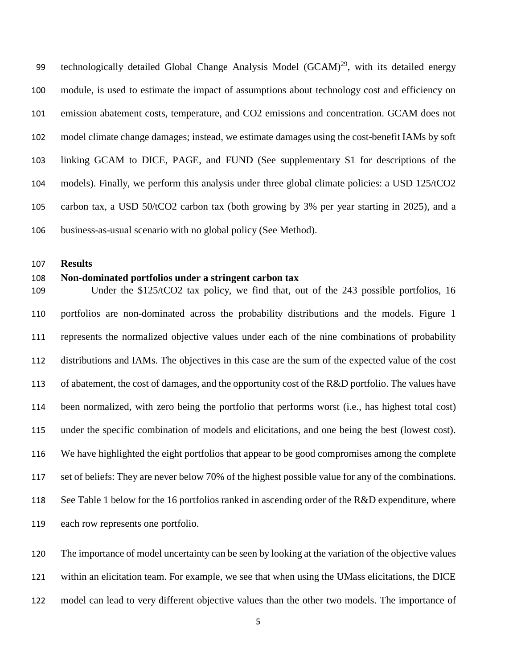99 technologically detailed Global Change Analysis Model  $(GCAM)^{29}$ , with its detailed energy module, is used to estimate the impact of assumptions about technology cost and efficiency on emission abatement costs, temperature, and CO2 emissions and concentration. GCAM does not model climate change damages; instead, we estimate damages using the cost-benefit IAMs by soft linking GCAM to DICE, PAGE, and FUND (See supplementary S1 for descriptions of the models). Finally, we perform this analysis under three global climate policies: a USD 125/tCO2 carbon tax, a USD 50/tCO2 carbon tax (both growing by 3% per year starting in 2025), and a business-as-usual scenario with no global policy (See Method).

**Results**

#### **Non-dominated portfolios under a stringent carbon tax**

 Under the \$125/tCO2 tax policy, we find that, out of the 243 possible portfolios, 16 portfolios are non-dominated across the probability distributions and the models. Figure 1 represents the normalized objective values under each of the nine combinations of probability distributions and IAMs. The objectives in this case are the sum of the expected value of the cost 113 of abatement, the cost of damages, and the opportunity cost of the R&D portfolio. The values have been normalized, with zero being the portfolio that performs worst (i.e., has highest total cost) under the specific combination of models and elicitations, and one being the best (lowest cost). We have highlighted the eight portfolios that appear to be good compromises among the complete set of beliefs: They are never below 70% of the highest possible value for any of the combinations. 118 See Table 1 below for the 16 portfolios ranked in ascending order of the R&D expenditure, where each row represents one portfolio.

 The importance of model uncertainty can be seen by looking at the variation of the objective values within an elicitation team. For example, we see that when using the UMass elicitations, the DICE

model can lead to very different objective values than the other two models. The importance of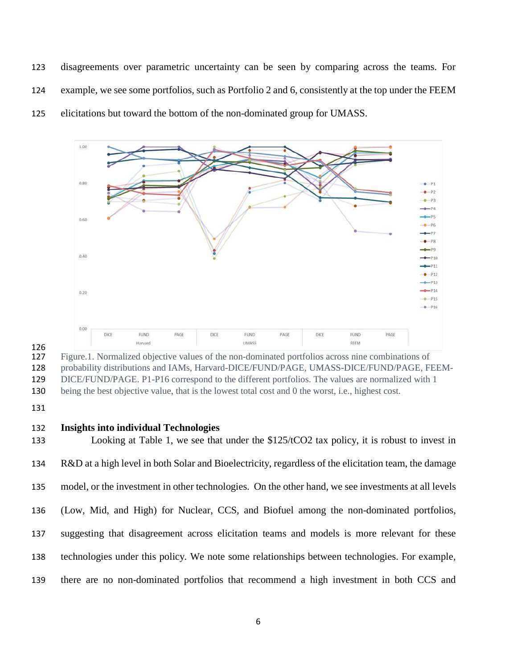disagreements over parametric uncertainty can be seen by comparing across the teams. For example, we see some portfolios, such as Portfolio 2 and 6, consistently at the top under the FEEM elicitations but toward the bottom of the non-dominated group for UMASS.



126<br>127 Figure.1. Normalized objective values of the non-dominated portfolios across nine combinations of probability distributions and IAMs, Harvard-DICE/FUND/PAGE, UMASS-DICE/FUND/PAGE, FEEM- DICE/FUND/PAGE. P1-P16 correspond to the different portfolios. The values are normalized with 1 being the best objective value, that is the lowest total cost and 0 the worst, i.e., highest cost.

#### **Insights into individual Technologies**

 Looking at Table 1, we see that under the \$125/tCO2 tax policy, it is robust to invest in R&D at a high level in both Solar and Bioelectricity, regardless of the elicitation team, the damage model, or the investment in other technologies. On the other hand, we see investments at all levels (Low, Mid, and High) for Nuclear, CCS, and Biofuel among the non-dominated portfolios, suggesting that disagreement across elicitation teams and models is more relevant for these technologies under this policy. We note some relationships between technologies. For example, there are no non-dominated portfolios that recommend a high investment in both CCS and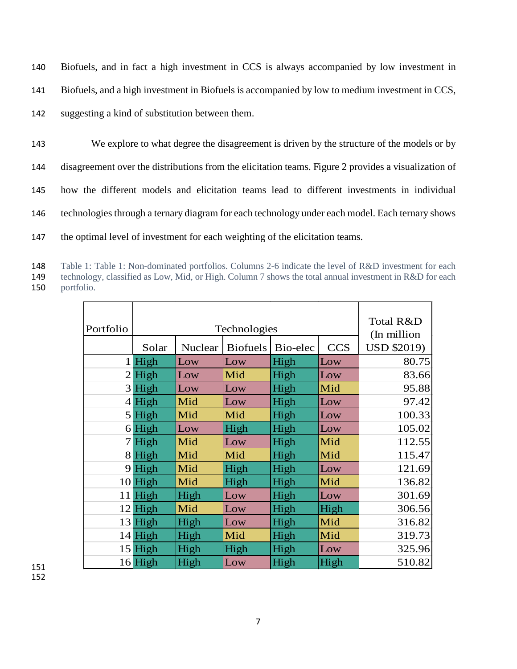| 140 | Biofuels, and in fact a high investment in CCS is always accompanied by low investment in            |
|-----|------------------------------------------------------------------------------------------------------|
| 141 | Biofuels, and a high investment in Biofuels is accompanied by low to medium investment in CCS,       |
| 142 | suggesting a kind of substitution between them.                                                      |
| 143 | We explore to what degree the disagreement is driven by the structure of the models or by            |
| 144 | disagreement over the distributions from the elicitation teams. Figure 2 provides a visualization of |
| 145 | how the different models and elicitation teams lead to different investments in individual           |
| 146 | technologies through a ternary diagram for each technology under each model. Each ternary shows      |
| 147 | the optimal level of investment for each weighting of the elicitation teams.                         |

 Table 1: Table 1: Non-dominated portfolios. Columns 2-6 indicate the level of R&D investment for each technology, classified as Low, Mid, or High. Column 7 shows the total annual investment in R&D for each portfolio.

| Portfolio | Technologies |         |                 |          |            | Total R&D<br>(In million) |  |
|-----------|--------------|---------|-----------------|----------|------------|---------------------------|--|
|           | Solar        | Nuclear | <b>Biofuels</b> | Bio-elec | <b>CCS</b> | <b>USD \$2019)</b>        |  |
|           | $1$ High     | Low     | Low             | High     | Low        | 80.75                     |  |
|           | $2$ High     | Low     | Mid             | High     | Low        | 83.66                     |  |
|           | 3 High       | Low     | Low             | High     | Mid        | 95.88                     |  |
|           | $4$ High     | Mid     | Low             | High     | Low        | 97.42                     |  |
|           | $5$ High     | Mid     | Mid             | High     | Low        | 100.33                    |  |
|           | $6$ High     | Low     | High            | High     | Low        | 105.02                    |  |
|           | $7$ High     | Mid     | Low             | High     | Mid        | 112.55                    |  |
|           | $8$ High     | Mid     | Mid             | High     | Mid        | 115.47                    |  |
|           | $9$ High     | Mid     | High            | High     | Low        | 121.69                    |  |
|           | $10$ High    | Mid     | High            | High     | Mid        | 136.82                    |  |
|           | $11$ High    | High    | Low             | High     | Low        | 301.69                    |  |
|           | $12$ High    | Mid     | Low             | High     | High       | 306.56                    |  |
|           | $13$ High    | High    | Low             | High     | Mid        | 316.82                    |  |
|           | $14$ High    | High    | Mid             | High     | Mid        | 319.73                    |  |
|           | $15$ High    | High    | High            | High     | Low        | 325.96                    |  |
|           | $16$ High    | High    | Low             | High     | High       | 510.82                    |  |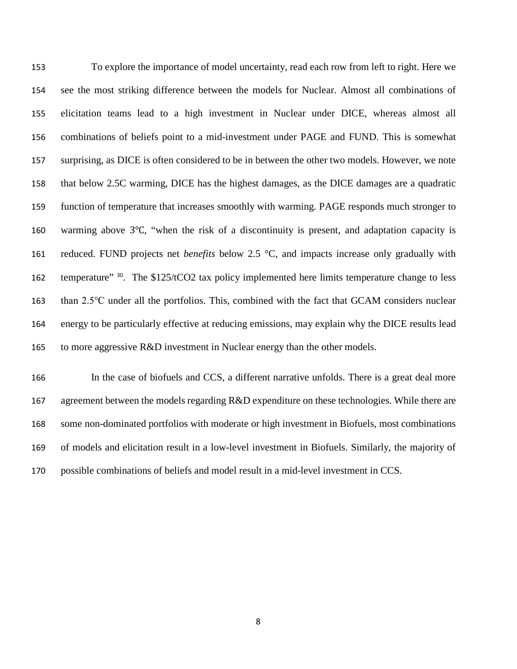To explore the importance of model uncertainty, read each row from left to right. Here we see the most striking difference between the models for Nuclear. Almost all combinations of elicitation teams lead to a high investment in Nuclear under DICE, whereas almost all combinations of beliefs point to a mid-investment under PAGE and FUND. This is somewhat surprising, as DICE is often considered to be in between the other two models. However, we note that below 2.5C warming, DICE has the highest damages, as the DICE damages are a quadratic function of temperature that increases smoothly with warming. PAGE responds much stronger to warming above 3℃, "when the risk of a discontinuity is present, and adaptation capacity is reduced. FUND projects net *benefits* below 2.5 °C, and impacts increase only gradually with 162 temperature" <sup>30</sup>. The \$125/tCO2 tax policy implemented here limits temperature change to less than 2.5℃ under all the portfolios. This, combined with the fact that GCAM considers nuclear energy to be particularly effective at reducing emissions, may explain why the DICE results lead 165 to more aggressive R&D investment in Nuclear energy than the other models.

 In the case of biofuels and CCS, a different narrative unfolds. There is a great deal more 167 agreement between the models regarding R&D expenditure on these technologies. While there are some non-dominated portfolios with moderate or high investment in Biofuels, most combinations of models and elicitation result in a low-level investment in Biofuels. Similarly, the majority of possible combinations of beliefs and model result in a mid-level investment in CCS.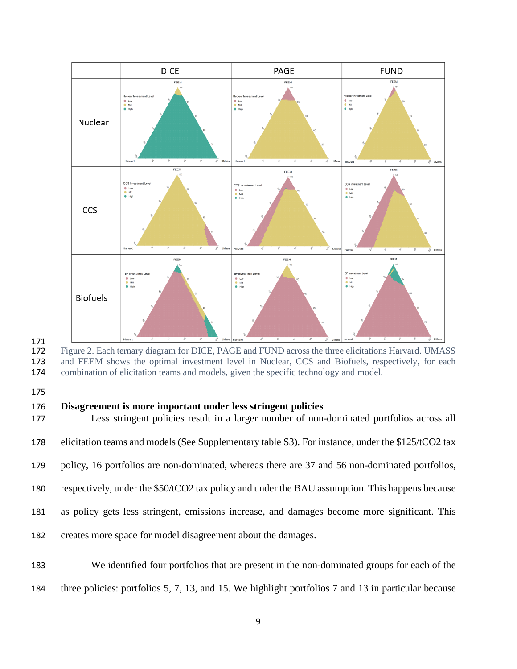

Figure 2. Each ternary diagram for DICE, PAGE and FUND across the three elicitations Harvard. UMASS and FEEM shows the optimal investment level in Nuclear, CCS and Biofuels, respectively, for each combination of elicitation teams and models, given the specific technology and model.

## **Disagreement is more important under less stringent policies**

 Less stringent policies result in a larger number of non-dominated portfolios across all elicitation teams and models (See Supplementary table S3). For instance, under the \$125/tCO2 tax

policy, 16 portfolios are non-dominated, whereas there are 37 and 56 non-dominated portfolios,

respectively, under the \$50/tCO2 tax policy and under the BAU assumption. This happens because

as policy gets less stringent, emissions increase, and damages become more significant. This

creates more space for model disagreement about the damages.

 We identified four portfolios that are present in the non-dominated groups for each of the three policies: portfolios 5, 7, 13, and 15. We highlight portfolios 7 and 13 in particular because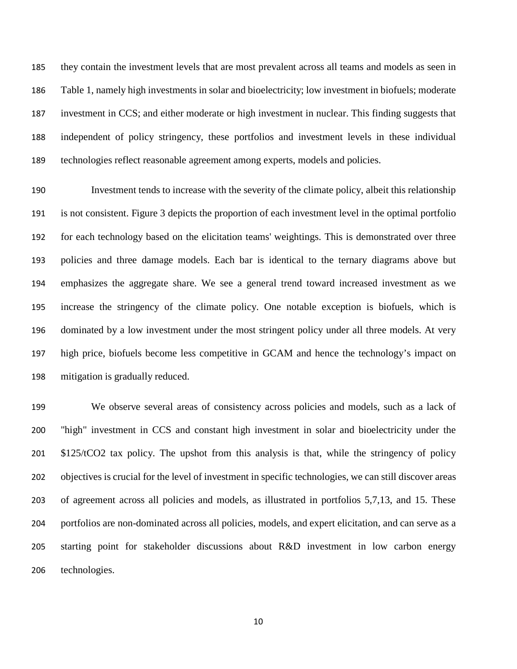they contain the investment levels that are most prevalent across all teams and models as seen in Table 1, namely high investments in solar and bioelectricity; low investment in biofuels; moderate investment in CCS; and either moderate or high investment in nuclear. This finding suggests that independent of policy stringency, these portfolios and investment levels in these individual technologies reflect reasonable agreement among experts, models and policies.

 Investment tends to increase with the severity of the climate policy, albeit this relationship is not consistent. Figure 3 depicts the proportion of each investment level in the optimal portfolio for each technology based on the elicitation teams' weightings. This is demonstrated over three policies and three damage models. Each bar is identical to the ternary diagrams above but emphasizes the aggregate share. We see a general trend toward increased investment as we increase the stringency of the climate policy. One notable exception is biofuels, which is dominated by a low investment under the most stringent policy under all three models. At very high price, biofuels become less competitive in GCAM and hence the technology's impact on mitigation is gradually reduced.

 We observe several areas of consistency across policies and models, such as a lack of "high" investment in CCS and constant high investment in solar and bioelectricity under the 201 \$125/tCO2 tax policy. The upshot from this analysis is that, while the stringency of policy objectives is crucial for the level of investment in specific technologies, we can still discover areas of agreement across all policies and models, as illustrated in portfolios 5,7,13, and 15. These portfolios are non-dominated across all policies, models, and expert elicitation, and can serve as a starting point for stakeholder discussions about R&D investment in low carbon energy technologies.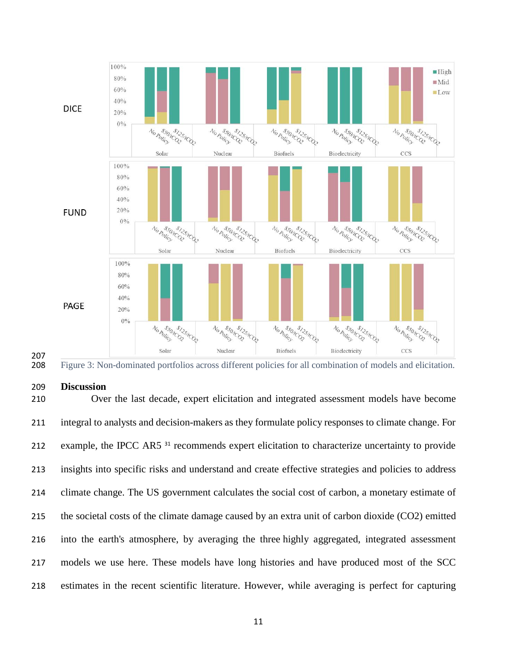



#### **Discussion**

 Over the last decade, expert elicitation and integrated assessment models have become integral to analysts and decision-makers as they formulate policy responses to climate change. For 212 example, the IPCC AR5<sup>31</sup> recommends expert elicitation to characterize uncertainty to provide insights into specific risks and understand and create effective strategies and policies to address climate change. The US government calculates the social cost of carbon, a monetary estimate of the societal costs of the climate damage caused by an extra unit of carbon dioxide (CO2) emitted into the earth's atmosphere, by averaging the three highly aggregated, integrated assessment models we use here. These models have long histories and have produced most of the SCC estimates in the recent scientific literature. However, while averaging is perfect for capturing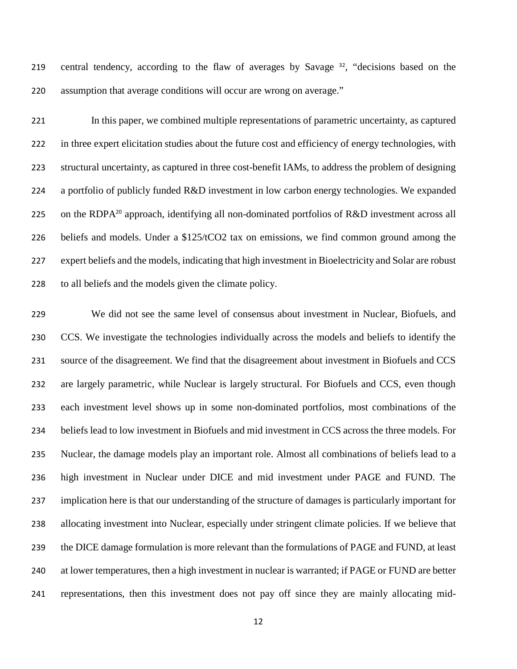219 central tendency, according to the flaw of averages by Savage , "decisions based on the assumption that average conditions will occur are wrong on average."

 In this paper, we combined multiple representations of parametric uncertainty, as captured in three expert elicitation studies about the future cost and efficiency of energy technologies, with structural uncertainty, as captured in three cost-benefit IAMs, to address the problem of designing a portfolio of publicly funded R&D investment in low carbon energy technologies. We expanded 225 on the RDPA<sup>20</sup> approach, identifying all non-dominated portfolios of R&D investment across all beliefs and models. Under a \$125/tCO2 tax on emissions, we find common ground among the expert beliefs and the models, indicating that high investment in Bioelectricity and Solar are robust to all beliefs and the models given the climate policy.

 We did not see the same level of consensus about investment in Nuclear, Biofuels, and CCS. We investigate the technologies individually across the models and beliefs to identify the source of the disagreement. We find that the disagreement about investment in Biofuels and CCS are largely parametric, while Nuclear is largely structural. For Biofuels and CCS, even though each investment level shows up in some non-dominated portfolios, most combinations of the beliefs lead to low investment in Biofuels and mid investment in CCS across the three models. For Nuclear, the damage models play an important role. Almost all combinations of beliefs lead to a high investment in Nuclear under DICE and mid investment under PAGE and FUND. The implication here is that our understanding of the structure of damages is particularly important for allocating investment into Nuclear, especially under stringent climate policies. If we believe that the DICE damage formulation is more relevant than the formulations of PAGE and FUND, at least at lower temperatures, then a high investment in nuclear is warranted; if PAGE or FUND are better representations, then this investment does not pay off since they are mainly allocating mid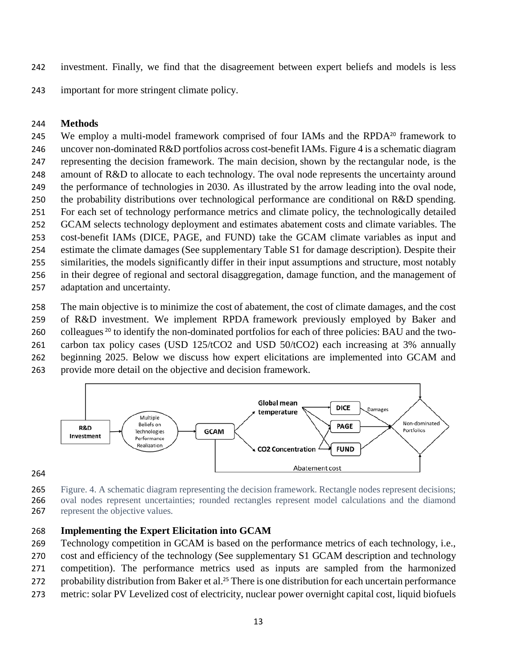investment. Finally, we find that the disagreement between expert beliefs and models is less

important for more stringent climate policy.

## **Methods**

245 We employ a multi-model framework comprised of four IAMs and the RPDA $^{20}$  framework to uncover non-dominated R&D portfolios across cost-benefit IAMs. Figure 4 is a schematic diagram representing the decision framework. The main decision, shown by the rectangular node, is the amount of R&D to allocate to each technology. The oval node represents the uncertainty around the performance of technologies in 2030. As illustrated by the arrow leading into the oval node, the probability distributions over technological performance are conditional on R&D spending. For each set of technology performance metrics and climate policy, the technologically detailed GCAM selects technology deployment and estimates abatement costs and climate variables. The cost-benefit IAMs (DICE, PAGE, and FUND) take the GCAM climate variables as input and estimate the climate damages (See supplementary Table S1 for damage description). Despite their similarities, the models significantly differ in their input assumptions and structure, most notably in their degree of regional and sectoral disaggregation, damage function, and the management of adaptation and uncertainty.

The main objective is to minimize the cost of abatement, the cost of climate damages, and the cost

of R&D investment. We implement RPDA framework previously employed by Baker and

260 colleagues <sup>20</sup> to identify the non-dominated portfolios for each of three policies: BAU and the two-

261 carbon tax policy cases (USD 125/tCO2 and USD 50/tCO2) each increasing at 3% annually

beginning 2025. Below we discuss how expert elicitations are implemented into GCAM and

provide more detail on the objective and decision framework.



- Figure. 4. A schematic diagram representing the decision framework. Rectangle nodes represent decisions; oval nodes represent uncertainties; rounded rectangles represent model calculations and the diamond 267 represent the objective values.
- 

# **Implementing the Expert Elicitation into GCAM**

Technology competition in GCAM is based on the performance metrics of each technology, i.e.,

- cost and efficiency of the technology (See supplementary S1 GCAM description and technology
- competition). The performance metrics used as inputs are sampled from the harmonized
- 272 probability distribution from Baker et al.<sup>25</sup> There is one distribution for each uncertain performance
- metric: solar PV Levelized cost of electricity, nuclear power overnight capital cost, liquid biofuels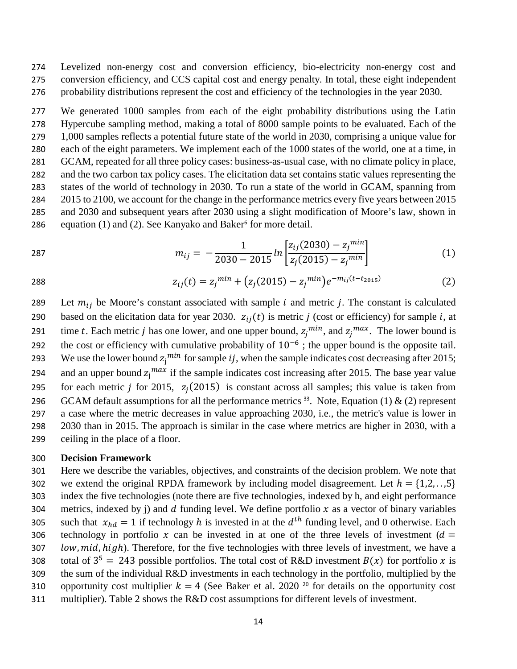274 Levelized non-energy cost and conversion efficiency, bio-electricity non-energy cost and 275 conversion efficiency, and CCS capital cost and energy penalty. In total, these eight independent 276 probability distributions represent the cost and efficiency of the technologies in the year 2030.

 We generated 1000 samples from each of the eight probability distributions using the Latin Hypercube sampling method, making a total of 8000 sample points to be evaluated. Each of the 1,000 samples reflects a potential future state of the world in 2030, comprising a unique value for each of the eight parameters. We implement each of the 1000 states of the world, one at a time, in GCAM, repeated for all three policy cases: business-as-usual case, with no climate policy in place, and the two carbon tax policy cases. The elicitation data set contains static values representing the states of the world of technology in 2030. To run a state of the world in GCAM, spanning from 2015 to 2100, we account for the change in the performance metrics every five years between 2015 and 2030 and subsequent years after 2030 using a slight modification of Moore's law, shown in 286 equation (1) and (2). See Kanyako and Baker<sup>6</sup> for more detail.

$$
m_{ij} = -\frac{1}{2030 - 2015} ln \left[ \frac{z_{ij}(2030) - z_j^{min}}{z_j(2015) - z_j^{min}} \right]
$$
(1)

 $z_{ij}(t) = z_j^{min} + (z_j(2015) - z_j^{min})e^{-m_{ij}(t - t_{2015})}$  (2)

289 Let  $m_{ij}$  be Moore's constant associated with sample *i* and metric *j*. The constant is calculated 290 based on the elicitation data for year 2030.  $z_{ij}(t)$  is metric *j* (cost or efficiency) for sample *i*, at 291 time t. Each metric j has one lower, and one upper bound,  $z_i^{min}$ , and  $z_i^{max}$ . The lower bound is the cost or efficiency with cumulative probability of  $10^{-6}$ ; the upper bound is the opposite tail. 293 We use the lower bound  $z_j^{mn}$  for sample *ij*, when the sample indicates cost decreasing after 2015; 294 and an upper bound  $z_j^{max}$  if the sample indicates cost increasing after 2015. The base year value 295 for each metric *j* for 2015,  $z_j(2015)$  is constant across all samples; this value is taken from 296 GCAM default assumptions for all the performance metrics <sup>33</sup>. Note, Equation (1) & (2) represent 297 a case where the metric decreases in value approaching 2030, i.e., the metric's value is lower in 298 2030 than in 2015. The approach is similar in the case where metrics are higher in 2030, with a 299 ceiling in the place of a floor.

#### 300 **Decision Framework**

301 Here we describe the variables, objectives, and constraints of the decision problem. We note that 302 we extend the original RPDA framework by including model disagreement. Let  $h = \{1,2,...,5\}$ 303 index the five technologies (note there are five technologies, indexed by h, and eight performance 304 metrics, indexed by j) and  $d$  funding level. We define portfolio  $x$  as a vector of binary variables such that  $x_{hd} = 1$  if technology *h* is invested in at the  $d^{th}$  funding level, and 0 otherwise. Each technology in portfolio x can be invested in at one of the three levels of investment ( $d =$ technology in portfolio x can be invested in at one of the three levels of investment ( $d =$ 307 *low, mid, high*). Therefore, for the five technologies with three levels of investment, we have a 308 total of  $3^5 = 243$  possible portfolios. The total cost of R&D investment  $B(x)$  for portfolio x is 309 the sum of the individual R&D investments in each technology in the portfolio, multiplied by the 310 opportunity cost multiplier  $k = 4$  (See Baker et al. 2020<sup>20</sup> for details on the opportunity cost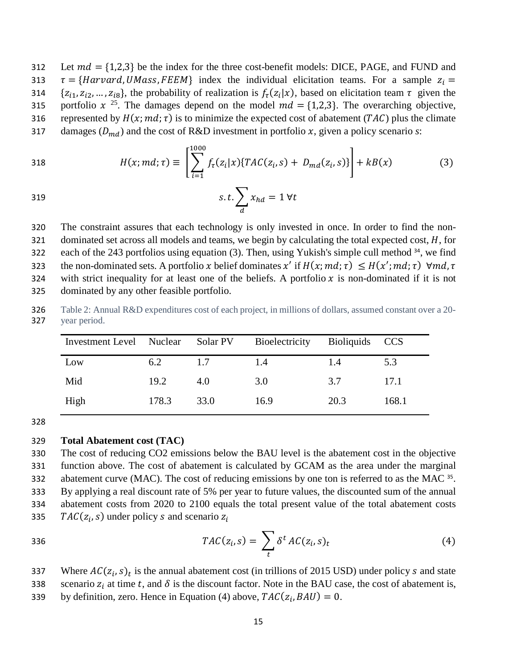312 Let  $md = \{1,2,3\}$  be the index for the three cost-benefit models: DICE, PAGE, and FUND and 313  $\tau = \{Harvard, UMass, FEEM\}$  index the individual elicitation teams. For a sample  $z_i = \{z_{i1}, z_{i2}, ..., z_{i8}\}$ , the probability of realization is  $f_{\tau}(z_i|x)$ , based on elicitation team  $\tau$  given the  $\{z_{i1}, z_{i2}, ..., z_{i8}\}\$ , the probability of realization is  $f_{\tau}(z_i|x)$ , based on elicitation team  $\tau$  given the 315 portfolio  $x^{25}$ . The damages depend on the model  $md = \{1,2,3\}$ . The overarching objective, 316 represented by  $H(x; md; \tau)$  is to minimize the expected cost of abatement (TAC) plus the climate 317 damages  $(D_{md})$  and the cost of R&D investment in portfolio x, given a policy scenario *s*:

318 
$$
H(x; md; \tau) \equiv \left[ \sum_{i=1}^{1000} f_{\tau}(z_i|x) \{ TAC(z_i, s) + D_{md}(z_i, s) \} \right] + kB(x) \tag{3}
$$

$$
s.t. \sum_{d} x_{hd} = 1 \,\forall t
$$

320 The constraint assures that each technology is only invested in once. In order to find the non-321 dominated set across all models and teams, we begin by calculating the total expected cost,  $H$ , for 322 each of the 243 portfolios using equation (3). Then, using Yukish's simple cull method  $34$ , we find 323 the non-dominated sets. A portfolio x belief dominates x' if  $H(x; md; \tau) \leq H(x'; md; \tau)$   $\forall md, \tau$ 324 with strict inequality for at least one of the beliefs. A portfolio  $x$  is non-dominated if it is not 325 dominated by any other feasible portfolio.

326 Table 2: Annual R&D expenditures cost of each project, in millions of dollars, assumed constant over a 20- 327 year period.

| Investment Level Nuclear |       | Solar PV | Bioelectricity | Bioliquids CCS |       |
|--------------------------|-------|----------|----------------|----------------|-------|
| Low                      | 6.2   | 1.7      | 1.4            | 1.4            | 5.3   |
| Mid                      | 19.2  | 4.0      | 3.0            | 3.7            | 17.1  |
| High                     | 178.3 | 33.0     | 16.9           | 20.3           | 168.1 |

328

#### 329 **Total Abatement cost (TAC)**

 The cost of reducing CO2 emissions below the BAU level is the abatement cost in the objective function above. The cost of abatement is calculated by GCAM as the area under the marginal abatement curve (MAC). The cost of reducing emissions by one ton is referred to as the MAC  $35$ . By applying a real discount rate of 5% per year to future values, the discounted sum of the annual abatement costs from 2020 to 2100 equals the total present value of the total abatement costs  $TAC(z_i, s)$  under policy s and scenario  $z_i$ 

$$
TAC(z_i, s) = \sum_t \delta^t AC(z_i, s)_t \tag{4}
$$

337 Where  $AC(z_i, s)_t$  is the annual abatement cost (in trillions of 2015 USD) under policy s and state 338 scenario  $z_i$  at time t, and  $\delta$  is the discount factor. Note in the BAU case, the cost of abatement is, 339 by definition, zero. Hence in Equation (4) above,  $TAC(z_i, BAU) = 0$ .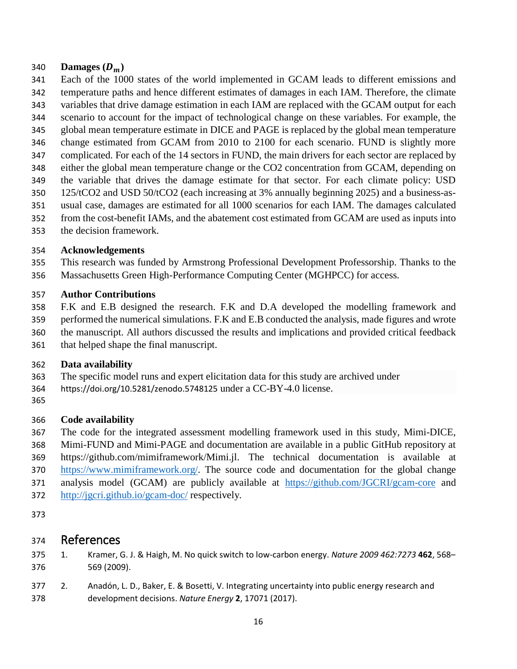# 340 **Damages**  $(D_m)$ <br>341 **Each of the 100**

- Each of the 1000 states of the world implemented in GCAM leads to different emissions and
- temperature paths and hence different estimates of damages in each IAM. Therefore, the climate
- variables that drive damage estimation in each IAM are replaced with the GCAM output for each
- scenario to account for the impact of technological change on these variables. For example, the
- global mean temperature estimate in DICE and PAGE is replaced by the global mean temperature change estimated from GCAM from 2010 to 2100 for each scenario. FUND is slightly more
- complicated. For each of the 14 sectors in FUND, the main drivers for each sector are replaced by
- either the global mean temperature change or the CO2 concentration from GCAM, depending on
- the variable that drives the damage estimate for that sector. For each climate policy: USD
- 125/tCO2 and USD 50/tCO2 (each increasing at 3% annually beginning 2025) and a business-as-
- usual case, damages are estimated for all 1000 scenarios for each IAM. The damages calculated
- from the cost-benefit IAMs, and the abatement cost estimated from GCAM are used as inputs into
- the decision framework.

# **Acknowledgements**

 This research was funded by Armstrong Professional Development Professorship. Thanks to the Massachusetts Green High-Performance Computing Center (MGHPCC) for access.

# **Author Contributions**

- F.K and E.B designed the research. F.K and D.A developed the modelling framework and
- performed the numerical simulations. F.K and E.B conducted the analysis, made figures and wrote
- the manuscript. All authors discussed the results and implications and provided critical feedback
- that helped shape the final manuscript.

# **Data availability**

- The specific model runs and expert elicitation data for this study are archived under
- <https://doi.org/10.5281/zenodo.5748125> under a CC-BY-4.0 license.
- 

# **Code availability**

- The code for the integrated assessment modelling framework used in this study, Mimi-DICE, Mimi-FUND and Mimi-PAGE and documentation are available in a public GitHub repository at
- https://github.com/mimiframework/Mimi.jl. The technical documentation is available at
- [https://www.mimiframework.org/.](https://www.mimiframework.org/) The source code and documentation for the global change
- 371 analysis model (GCAM) are publicly available at <https://github.com/JGCRI/gcam-core> and
- <http://jgcri.github.io/gcam-doc/> respectively.
- 

# References

- 1. Kramer, G. J. & Haigh, M. No quick switch to low-carbon energy. *Nature 2009 462:7273* **462**, 568– 569 (2009).
- 2. Anadón, L. D., Baker, E. & Bosetti, V. Integrating uncertainty into public energy research and development decisions. *Nature Energy* **2**, 17071 (2017).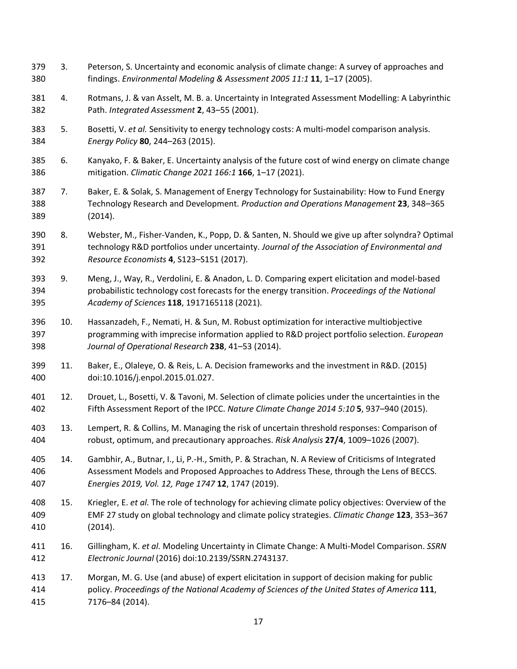- 3. Peterson, S. Uncertainty and economic analysis of climate change: A survey of approaches and findings. *Environmental Modeling & Assessment 2005 11:1* **11**, 1–17 (2005).
- 4. Rotmans, J. & van Asselt, M. B. a. Uncertainty in Integrated Assessment Modelling: A Labyrinthic Path. *Integrated Assessment* **2**, 43–55 (2001).
- 5. Bosetti, V. *et al.* Sensitivity to energy technology costs: A multi-model comparison analysis. *Energy Policy* **80**, 244–263 (2015).
- 6. Kanyako, F. & Baker, E. Uncertainty analysis of the future cost of wind energy on climate change mitigation. *Climatic Change 2021 166:1* **166**, 1–17 (2021).
- 7. Baker, E. & Solak, S. Management of Energy Technology for Sustainability: How to Fund Energy Technology Research and Development. *Production and Operations Management* **23**, 348–365 (2014).
- 8. Webster, M., Fisher-Vanden, K., Popp, D. & Santen, N. Should we give up after solyndra? Optimal technology R&D portfolios under uncertainty. *Journal of the Association of Environmental and Resource Economists* **4**, S123–S151 (2017).
- 9. Meng, J., Way, R., Verdolini, E. & Anadon, L. D. Comparing expert elicitation and model-based probabilistic technology cost forecasts for the energy transition. *Proceedings of the National Academy of Sciences* **118**, 1917165118 (2021).
- 10. Hassanzadeh, F., Nemati, H. & Sun, M. Robust optimization for interactive multiobjective programming with imprecise information applied to R&D project portfolio selection. *European Journal of Operational Research* **238**, 41–53 (2014).
- 11. Baker, E., Olaleye, O. & Reis, L. A. Decision frameworks and the investment in R&D. (2015) doi:10.1016/j.enpol.2015.01.027.
- 12. Drouet, L., Bosetti, V. & Tavoni, M. Selection of climate policies under the uncertainties in the Fifth Assessment Report of the IPCC. *Nature Climate Change 2014 5:10* **5**, 937–940 (2015).
- 13. Lempert, R. & Collins, M. Managing the risk of uncertain threshold responses: Comparison of robust, optimum, and precautionary approaches. *Risk Analysis* **27/4**, 1009–1026 (2007).
- 14. Gambhir, A., Butnar, I., Li, P.-H., Smith, P. & Strachan, N. A Review of Criticisms of Integrated Assessment Models and Proposed Approaches to Address These, through the Lens of BECCS. *Energies 2019, Vol. 12, Page 1747* **12**, 1747 (2019).
- 15. Kriegler, E. *et al.* The role of technology for achieving climate policy objectives: Overview of the EMF 27 study on global technology and climate policy strategies. *Climatic Change* **123**, 353–367 (2014).
- 16. Gillingham, K. *et al.* Modeling Uncertainty in Climate Change: A Multi-Model Comparison. *SSRN Electronic Journal* (2016) doi:10.2139/SSRN.2743137.
- 17. Morgan, M. G. Use (and abuse) of expert elicitation in support of decision making for public policy. *Proceedings of the National Academy of Sciences of the United States of America* **111**, 7176–84 (2014).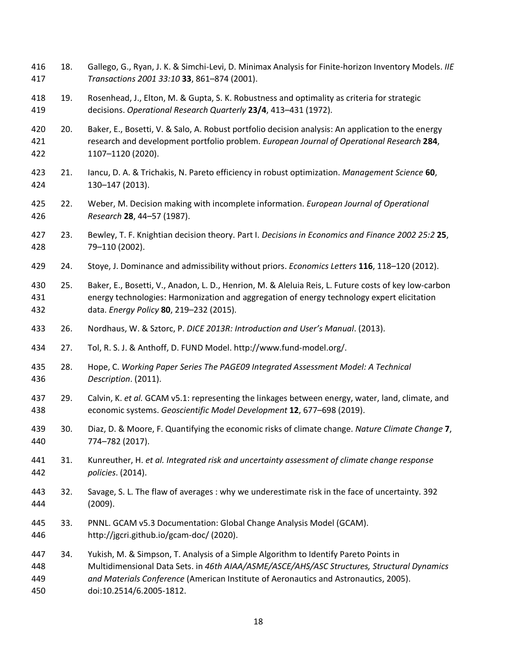18. Gallego, G., Ryan, J. K. & Simchi-Levi, D. Minimax Analysis for Finite-horizon Inventory Models. *IIE Transactions 2001 33:10* **33**, 861–874 (2001). 19. Rosenhead, J., Elton, M. & Gupta, S. K. Robustness and optimality as criteria for strategic decisions. *Operational Research Quarterly* **23/4**, 413–431 (1972). 20. Baker, E., Bosetti, V. & Salo, A. Robust portfolio decision analysis: An application to the energy research and development portfolio problem. *European Journal of Operational Research* **284**, 1107–1120 (2020). 21. Iancu, D. A. & Trichakis, N. Pareto efficiency in robust optimization. *Management Science* **60**, 130–147 (2013). 22. Weber, M. Decision making with incomplete information. *European Journal of Operational Research* **28**, 44–57 (1987). 23. Bewley, T. F. Knightian decision theory. Part I. *Decisions in Economics and Finance 2002 25:2* **25**, 79–110 (2002). 24. Stoye, J. Dominance and admissibility without priors. *Economics Letters* **116**, 118–120 (2012). 25. Baker, E., Bosetti, V., Anadon, L. D., Henrion, M. & Aleluia Reis, L. Future costs of key low-carbon energy technologies: Harmonization and aggregation of energy technology expert elicitation data. *Energy Policy* **80**, 219–232 (2015). 26. Nordhaus, W. & Sztorc, P. *DICE 2013R: Introduction and User's Manual*. (2013). 27. Tol, R. S. J. & Anthoff, D. FUND Model. http://www.fund-model.org/. 28. Hope, C. *Working Paper Series The PAGE09 Integrated Assessment Model: A Technical Description*. (2011). 29. Calvin, K. *et al.* GCAM v5.1: representing the linkages between energy, water, land, climate, and economic systems. *Geoscientific Model Development* **12**, 677–698 (2019). 30. Diaz, D. & Moore, F. Quantifying the economic risks of climate change. *Nature Climate Change* **7**, 774–782 (2017). 31. Kunreuther, H. *et al. Integrated risk and uncertainty assessment of climate change response policies*. (2014). 32. Savage, S. L. The flaw of averages : why we underestimate risk in the face of uncertainty. 392 (2009). 33. PNNL. GCAM v5.3 Documentation: Global Change Analysis Model (GCAM). http://jgcri.github.io/gcam-doc/ (2020). 34. Yukish, M. & Simpson, T. Analysis of a Simple Algorithm to Identify Pareto Points in Multidimensional Data Sets. in *46th AIAA/ASME/ASCE/AHS/ASC Structures, Structural Dynamics and Materials Conference* (American Institute of Aeronautics and Astronautics, 2005). doi:10.2514/6.2005-1812.